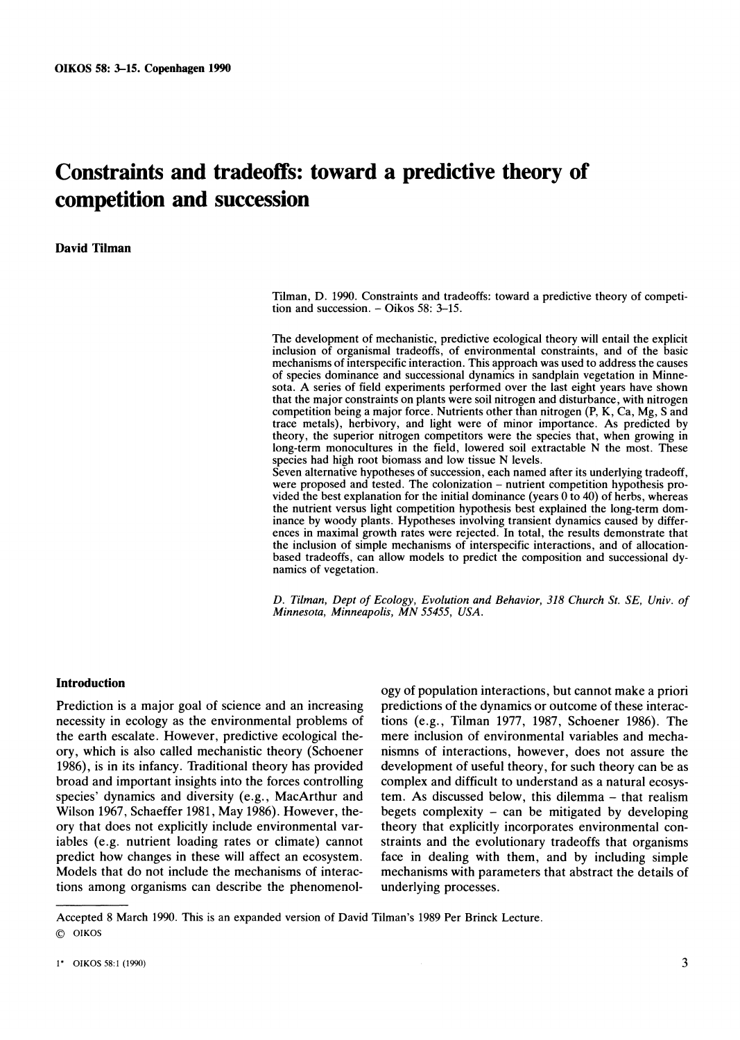# **Constraints and tradeoffs: toward a predictive theory of competition and succession**

**namics of vegetation.** 

**David Tilman** 

**Tilman, D. 1990. Constraints and tradeoffs: toward a predictive theory of competition and succession. - Oikos 58: 3-15.** 

**The development of mechanistic, predictive ecological theory will entail the explicit inclusion of organismal tradeoffs, of environmental constraints, and of the basic mechanisms of interspecific interaction. This approach was used to address the causes of species dominance and successional dynamics in sandplain vegetation in Minnesota. A series of field experiments performed over the last eight years have shown that the major constraints on plants were soil nitrogen and disturbance, with nitrogen competition being a major force. Nutrients other than nitrogen (P, K, Ca, Mg, S and trace metals), herbivory, and light were of minor importance. As predicted by theory, the superior nitrogen competitors were the species that, when growing in long-term monocultures in the field, lowered soil extractable N the most. These species had high root biomass and low tissue N levels. Seven alternative hypotheses of succession, each named after its underlying tradeoff,**  were proposed and tested. The colonization – nutrient competition hypothesis pro**vided the best explanation for the initial dominance (years 0 to 40) of herbs, whereas the nutrient versus light competition hypothesis best explained the long-term dominance by woody plants. Hypotheses involving transient dynamics caused by differences in maximal growth rates were rejected. In total, the results demonstrate that the inclusion of simple mechanisms of interspecific interactions, and of allocation-**

**D. Tilman, Dept of Ecology, Evolution and Behavior, 318 Church St. SE, Univ. of Minnesota, Minneapolis, MN 55455, USA.** 

**based tradeoffs, can allow models to predict the composition and successional dy-**

## **Introduction**

**Prediction is a major goal of science and an increasing necessity in ecology as the environmental problems of the earth escalate. However, predictive ecological theory, which is also called mechanistic theory (Schoener 1986), is in its infancy. Traditional theory has provided broad and important insights into the forces controlling species' dynamics and diversity (e.g., MacArthur and Wilson 1967, Schaeffer 1981, May 1986). However, theory that does not explicitly include environmental variables (e.g. nutrient loading rates or climate) cannot predict how changes in these will affect an ecosystem. Models that do not include the mechanisms of interactions among organisms can describe the phenomenol-**

**ogy of population interactions, but cannot make a priori predictions of the dynamics or outcome of these interactions (e.g., Tilman 1977, 1987, Schoener 1986). The mere inclusion of environmental variables and mechanismns of interactions, however, does not assure the development of useful theory, for such theory can be as complex and difficult to understand as a natural ecosystem. As discussed below, this dilemma - that realism begets complexity - can be mitigated by developing theory that explicitly incorporates environmental constraints and the evolutionary tradeoffs that organisms face in dealing with them, and by including simple mechanisms with parameters that abstract the details of underlying processes.** 

**Accepted 8 March 1990. This is an expanded version of David Tilman's 1989 Per Brinck Lecture. ? OIKOS**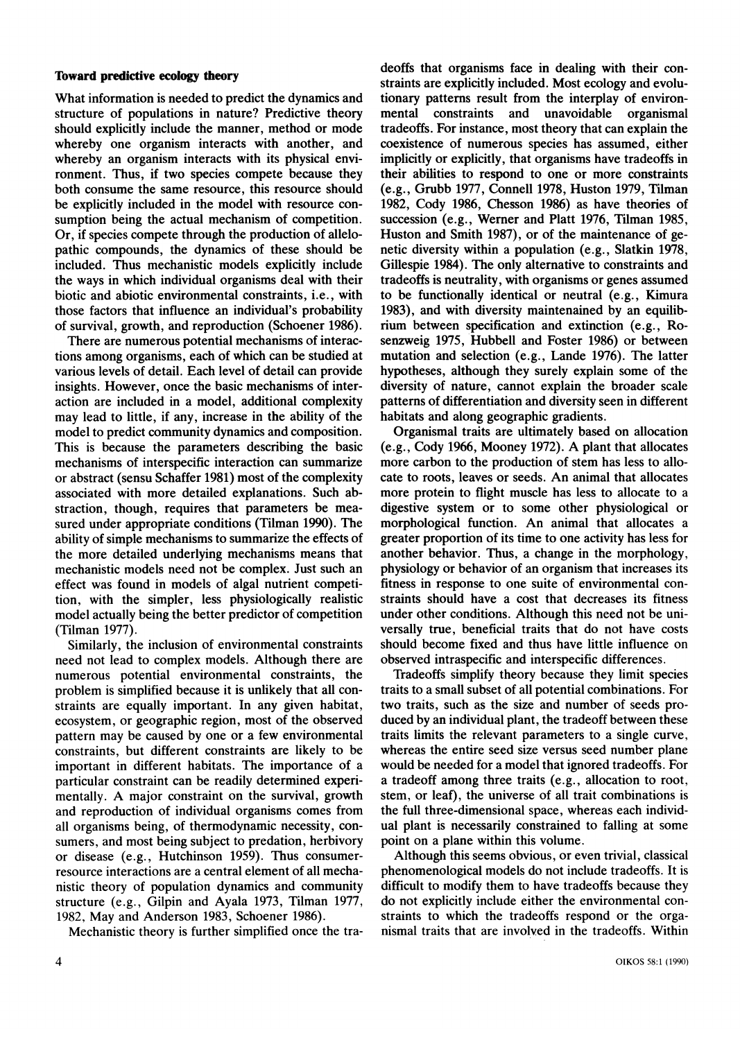#### **Toward predictive ecology theory**

**What information is needed to predict the dynamics and structure of populations in nature? Predictive theory should explicitly include the manner, method or mode whereby one organism interacts with another, and whereby an organism interacts with its physical environment. Thus, if two species compete because they both consume the same resource, this resource should be explicitly included in the model with resource consumption being the actual mechanism of competition. Or, if species compete through the production of allelopathic compounds, the dynamics of these should be included. Thus mechanistic models explicitly include the ways in which individual organisms deal with their biotic and abiotic environmental constraints, i.e., with those factors that influence an individual's probability of survival, growth, and reproduction (Schoener 1986).** 

**There are numerous potential mechanisms of interactions among organisms, each of which can be studied at various levels of detail. Each level of detail can provide insights. However, once the basic mechanisms of interaction are included in a model, additional complexity may lead to little, if any, increase in the ability of the model to predict community dynamics and composition. This is because the parameters describing the basic mechanisms of interspecific interaction can summarize or abstract (sensu Schaffer 1981) most of the complexity associated with more detailed explanations. Such abstraction, though, requires that parameters be measured under appropriate conditions (Tilman 1990). The ability of simple mechanisms to summarize the effects of the more detailed underlying mechanisms means that mechanistic models need not be complex. Just such an effect was found in models of algal nutrient competition, with the simpler, less physiologically realistic model actually being the better predictor of competition (Tilman 1977).** 

**Similarly, the inclusion of environmental constraints need not lead to complex models. Although there are numerous potential environmental constraints, the problem is simplified because it is unlikely that all constraints are equally important. In any given habitat, ecosystem, or geographic region, most of the observed pattern may be caused by one or a few environmental constraints, but different constraints are likely to be important in different habitats. The importance of a particular constraint can be readily determined experimentally. A major constraint on the survival, growth and reproduction of individual organisms comes from all organisms being, of thermodynamic necessity, consumers, and most being subject to predation, herbivory or disease (e.g., Hutchinson 1959). Thus consumerresource interactions are a central element of all mechanistic theory of population dynamics and community structure (e.g., Gilpin and Ayala 1973, Tilman 1977, 1982, May and Anderson 1983, Schoener 1986).** 

**Mechanistic theory is further simplified once the tra-**

**deoffs that organisms face in dealing with their constraints are explicitly included. Most ecology and evolutionary patterns result from the interplay of environunavoidable tradeoffs. For instance, most theory that can explain the coexistence of numerous species has assumed, either implicitly or explicitly, that organisms have tradeoffs in their abilities to respond to one or more constraints (e.g., Grubb 1977, Connell 1978, Huston 1979, Tilman 1982, Cody 1986, Chesson 1986) as have theories of succession (e.g., Werner and Platt 1976, Tilman 1985, Huston and Smith 1987), or of the maintenance of genetic diversity within a population (e.g., Slatkin 1978, Gillespie 1984). The only alternative to constraints and tradeoffs is neutrality, with organisms or genes assumed to be functionally identical or neutral (e.g., Kimura 1983), and with diversity maintenained by an equilibrium between specification and extinction (e.g., Rosenzweig 1975, Hubbell and Foster 1986) or between mutation and selection (e.g., Lande 1976). The latter hypotheses, although they surely explain some of the diversity of nature, cannot explain the broader scale patterns of differentiation and diversity seen in different habitats and along geographic gradients.** 

**Organismal traits are ultimately based on allocation (e.g., Cody 1966, Mooney 1972). A plant that allocates more carbon to the production of stem has less to allocate to roots, leaves or seeds. An animal that allocates more protein to flight muscle has less to allocate to a digestive system or to some other physiological or morphological function. An animal that allocates a greater proportion of its time to one activity has less for another behavior. Thus, a change in the morphology, physiology or behavior of an organism that increases its fitness in response to one suite of environmental constraints should have a cost that decreases its fitness under other conditions. Although this need not be universally true, beneficial traits that do not have costs should become fixed and thus have little influence on observed intraspecific and interspecific differences.** 

**Tradeoffs simplify theory because they limit species traits to a small subset of all potential combinations. For two traits, such as the size and number of seeds produced by an individual plant, the tradeoff between these traits limits the relevant parameters to a single curve, whereas the entire seed size versus seed number plane would be needed for a model that ignored tradeoffs. For a tradeoff among three traits (e.g., allocation to root, stem, or leaf), the universe of all trait combinations is the full three-dimensional space, whereas each individual plant is necessarily constrained to falling at some point on a plane within this volume.** 

**Although this seems obvious, or even trivial, classical phenomenological models do not include tradeoffs. It is difficult to modify them to have tradeoffs because they do not explicitly include either the environmental constraints to which the tradeoffs respond or the organismal traits that are involved in the tradeoffs. Within**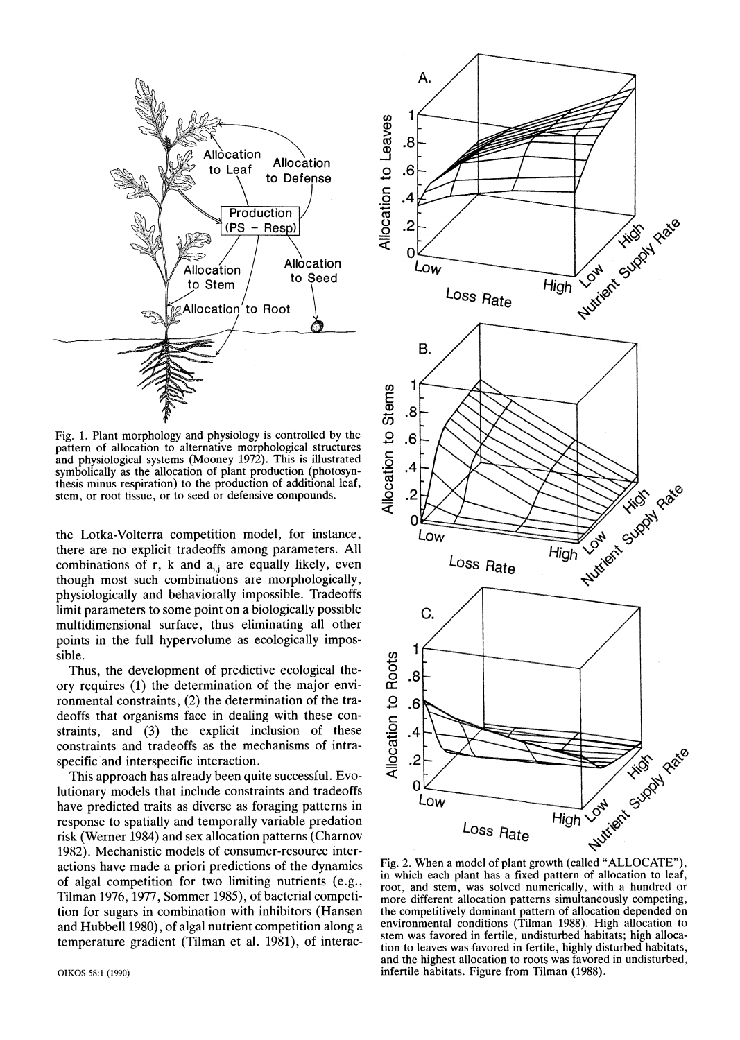

**Fig. 1. Plant morphology and physiology is controlled by the pattern of allocation to alternative morphological structures and physiological systems (Mooney 1972). This is illustrated symbolically as the allocation of plant production (photosynthesis minus respiration) to the production of additional leaf, stem, or root tissue, or to seed or defensive compounds.** 

**the Lotka-Volterra competition model, for instance, there are no explicit tradeoffs among parameters. All**  combinations of r, k and a<sub>ij</sub> are equally likely, even **though most such combinations are morphologically, physiologically and behaviorally impossible. Tradeoffs limit parameters to some point on a biologically possible multidimensional surface, thus eliminating all other points in the full hypervolume as ecologically impossible.** 

**Thus, the development of predictive ecological theory requires (1) the determination of the major environmental constraints, (2) the determination of the tradeoffs that organisms face in dealing with these constraints, and (3) the explicit inclusion of these constraints and tradeoffs as the mechanisms of intraspecific and interspecific interaction.** 

**This approach has already been quite successful. Evolutionary models that include constraints and tradeoffs have predicted traits as diverse as foraging patterns in response to spatially and temporally variable predation risk (Werner 1984) and sex allocation patterns (Charnov 1982). Mechanistic models of consumer-resource interactions have made a priori predictions of the dynamics of algal competition for two limiting nutrients (e.g., Tilman 1976, 1977, Sommer 1985), of bacterial competition for sugars in combination with inhibitors (Hansen and Hubbell 1980), of algal nutrient competition along a temperature gradient (Tilman et al. 1981), of interac-**



**Fig. 2. When a model of plant growth (called "ALLOCATE"), in which each plant has a fixed pattern of allocation to leaf, root, and stem, was solved numerically, with a hundred or more different allocation patterns simultaneously competing, the competitively dominant pattern of allocation depended on environmental conditions (Tilman 1988). High allocation to stem was favored in fertile, undisturbed habitats; high allocation to leaves was favored in fertile, highly disturbed habitats, and the highest allocation to roots was favored in undisturbed, infertile habitats. Figure from Tilman (1988).**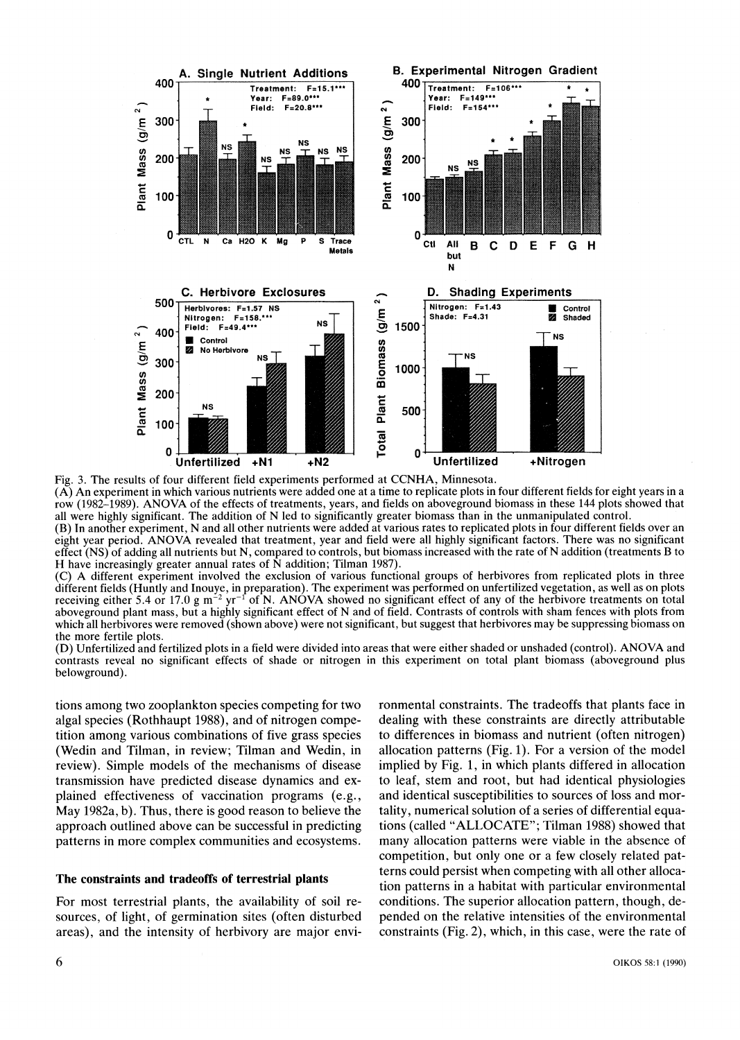

**Fig. 3. The results of four different field experiments performed at CCNHA, Minnesota. (A) An experiment in which various nutrients were added one at a time to replicate plots in four different fields for eight years in a row (1982-1989). ANOVA of the effects of treatments, years, and fields on aboveground biomass in these 144 plots showed that all were highly significant. The addition of N led to significantly greater biomass than in the unmanipulated control. (B) In another experiment, N and all other nutrients were added at various rates to replicated plots in four different fields over an** 

**eight year period. ANOVA revealed that treatment, year and field were all highly significant factors. There was no significant effect (NS) of adding all nutrients but N, compared to controls, but biomass increased with the rate of N addition (treatments B to H have increasingly greater annual rates of N addition; Tilman 1987).** 

**(C) A different experiment involved the exclusion of various functional groups of herbivores from replicated plots in three different fields (Huntly and Inouye, in preparation). The experiment was performed on unfertilized vegetation, as well as on plots**  receiving either 5.4 or 17.0 g  $m^{-2}$  yr<sup>-1</sup> of N. ANÓVA showed no significant effect of any of the herbivore treatments on total **aboveground plant mass, but a highly significant effect of N and of field. Contrasts of controls with sham fences with plots from which all herbivores were removed (shown above) were not significant, but suggest that herbivores may be suppressing biomass on the more fertile plots.** 

**(D) Unfertilized and fertilized plots in a field were divided into areas that were either shaded or unshaded (control). ANOVA and contrasts reveal no significant effects of shade or nitrogen in this experiment on total plant biomass (aboveground plus belowground).** 

**tions among two zooplankton species competing for two algal species (Rothhaupt 1988), and of nitrogen competition among various combinations of five grass species (Wedin and Tilman, in review; Tilman and Wedin, in review). Simple models of the mechanisms of disease transmission have predicted disease dynamics and explained effectiveness of vaccination programs (e.g., May 1982a, b). Thus, there is good reason to believe the approach outlined above can be successful in predicting patterns in more complex communities and ecosystems.** 

#### **The constraints and tradeoffs of terrestrial plants**

**For most terrestrial plants, the availability of soil resources, of light, of germination sites (often disturbed areas), and the intensity of herbivory are major envi-** **ronmental constraints. The tradeoffs that plants face in dealing with these constraints are directly attributable to differences in biomass and nutrient (often nitrogen) allocation patterns (Fig. 1). For a version of the model implied by Fig. 1, in which plants differed in allocation to leaf, stem and root, but had identical physiologies and identical susceptibilities to sources of loss and mortality, numerical solution of a series of differential equations (called "ALLOCATE"; Tilman 1988) showed that many allocation patterns were viable in the absence of competition, but only one or a few closely related patterns could persist when competing with all other allocation patterns in a habitat with particular environmental conditions. The superior allocation pattern, though, depended on the relative intensities of the environmental constraints (Fig. 2), which, in this case, were the rate of**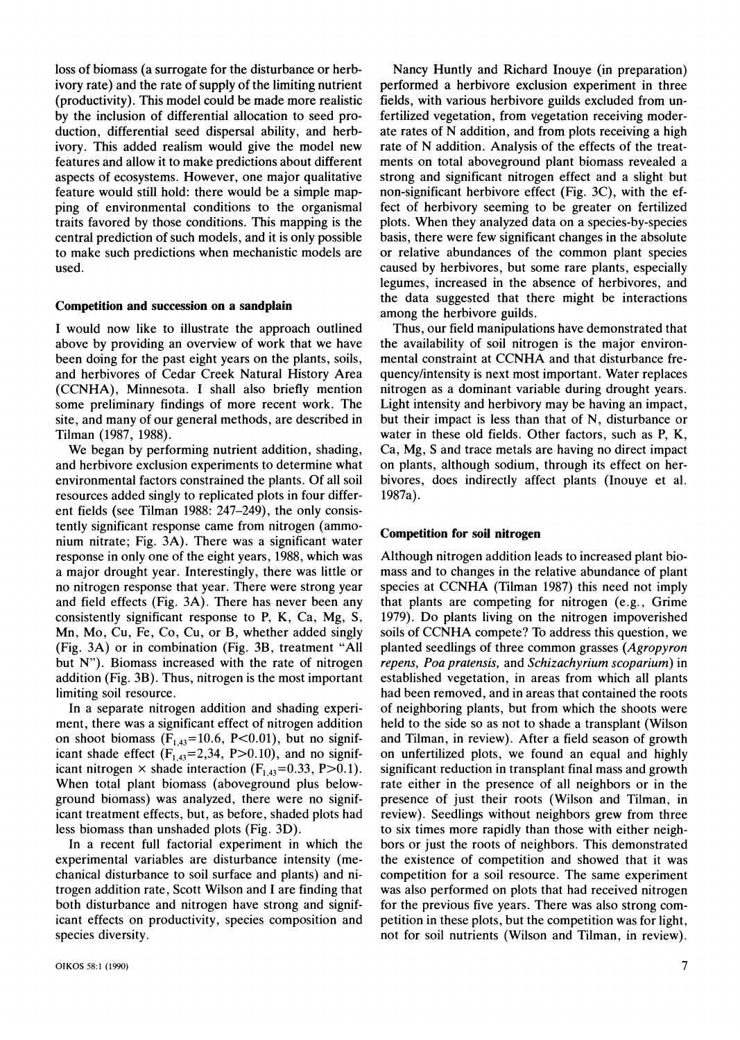**loss of biomass (a surrogate for the disturbance or herbivory rate) and the rate of supply of the limiting nutrient (productivity). This model could be made more realistic by the inclusion of differential allocation to seed production, differential seed dispersal ability, and herbivory. This added realism would give the model new features and allow it to make predictions about different aspects of ecosystems. However, one major qualitative feature would still hold: there would be a simple mapping of environmental conditions to the organismal traits favored by those conditions. This mapping is the central prediction of such models, and it is only possible to make such predictions when mechanistic models are used.** 

#### **Competition and succession on a sandplain**

**I would now like to illustrate the approach outlined above by providing an overview of work that we have been doing for the past eight years on the plants, soils, and herbivores of Cedar Creek Natural History Area (CCNHA), Minnesota. I shall also briefly mention some preliminary findings of more recent work. The site, and many of our general methods, are described in Tilman (1987, 1988).** 

**We began by performing nutrient addition, shading, and herbivore exclusion experiments to determine what environmental factors constrained the plants. Of all soil resources added singly to replicated plots in four different fields (see Tilman 1988: 247-249), the only consistently significant response came from nitrogen (ammonium nitrate; Fig. 3A). There was a significant water response in only one of the eight years, 1988, which was a major drought year. Interestingly, there was little or no nitrogen response that year. There were strong year and field effects (Fig. 3A). There has never been any consistently significant response to P, K, Ca, Mg, S, Mn, Mo, Cu, Fe, Co, Cu, or B, whether added singly (Fig. 3A) or in combination (Fig. 3B, treatment "All but N"). Biomass increased with the rate of nitrogen addition (Fig. 3B). Thus, nitrogen is the most important limiting soil resource.** 

**In a separate nitrogen addition and shading experiment, there was a significant effect of nitrogen addition**  on shoot biomass  $(F_{1,43}=10.6, P<0.01)$ , but no significant shade effect  $(F_{1,43}=2,34, P>0.10)$ , and no significant nitrogen  $\times$  shade interaction ( $F_{1,43}=0.33$ , P $>0.1$ ). **When total plant biomass (aboveground plus belowground biomass) was analyzed, there were no significant treatment effects, but, as before, shaded plots had less biomass than unshaded plots (Fig. 3D).** 

**In a recent full factorial experiment in which the experimental variables are disturbance intensity (mechanical disturbance to soil surface and plants) and nitrogen addition rate, Scott Wilson and I are finding that both disturbance and nitrogen have strong and significant effects on productivity, species composition and species diversity.** 

**Nancy Huntly and Richard Inouye (in preparation) performed a herbivore exclusion experiment in three fields, with various herbivore guilds excluded from unfertilized vegetation, from vegetation receiving moderate rates of N addition, and from plots receiving a high rate of N addition. Analysis of the effects of the treatments on total aboveground plant biomass revealed a strong and significant nitrogen effect and a slight but non-significant herbivore effect (Fig. 3C), with the effect of herbivory seeming to be greater on fertilized plots. When they analyzed data on a species-by-species basis, there were few significant changes in the absolute or relative abundances of the common plant species caused by herbivores, but some rare plants, especially legumes, increased in the absence of herbivores, and the data suggested that there might be interactions among the herbivore guilds.** 

**Thus, our field manipulations have demonstrated that the availability of soil nitrogen is the major environmental constraint at CCNHA and that disturbance frequency/intensity is next most important. Water replaces nitrogen as a dominant variable during drought years. Light intensity and herbivory may be having an impact, but their impact is less than that of N, disturbance or water in these old fields. Other factors, such as P, K, Ca, Mg, S and trace metals are having no direct impact on plants, although sodium, through its effect on herbivores, does indirectly affect plants (Inouye et al. 1987a).** 

#### **Competition for soil nitrogen**

**Although nitrogen addition leads to increased plant biomass and to changes in the relative abundance of plant species at CCNHA (Tilman 1987) this need not imply that plants are competing for nitrogen (e.g., Grime 1979). Do plants living on the nitrogen impoverished soils of CCNHA compete? To address this question, we planted seedlings of three common grasses (Agropyron repens, Poa pratensis, and Schizachyrium scoparium) in established vegetation, in areas from which all plants had been removed, and in areas that contained the roots of neighboring plants, but from which the shoots were held to the side so as not to shade a transplant (Wilson and Tilman, in review). After a field season of growth on unfertilized plots, we found an equal and highly significant reduction in transplant final mass and growth rate either in the presence of all neighbors or in the presence of just their roots (Wilson and Tilman, in review). Seedlings without neighbors grew from three to six times more rapidly than those with either neighbors or just the roots of neighbors. This demonstrated the existence of competition and showed that it was competition for a soil resource. The same experiment was also performed on plots that had received nitrogen for the previous five years. There was also strong competition in these plots, but the competition was for light, not for soil nutrients (Wilson and Tilman, in review).**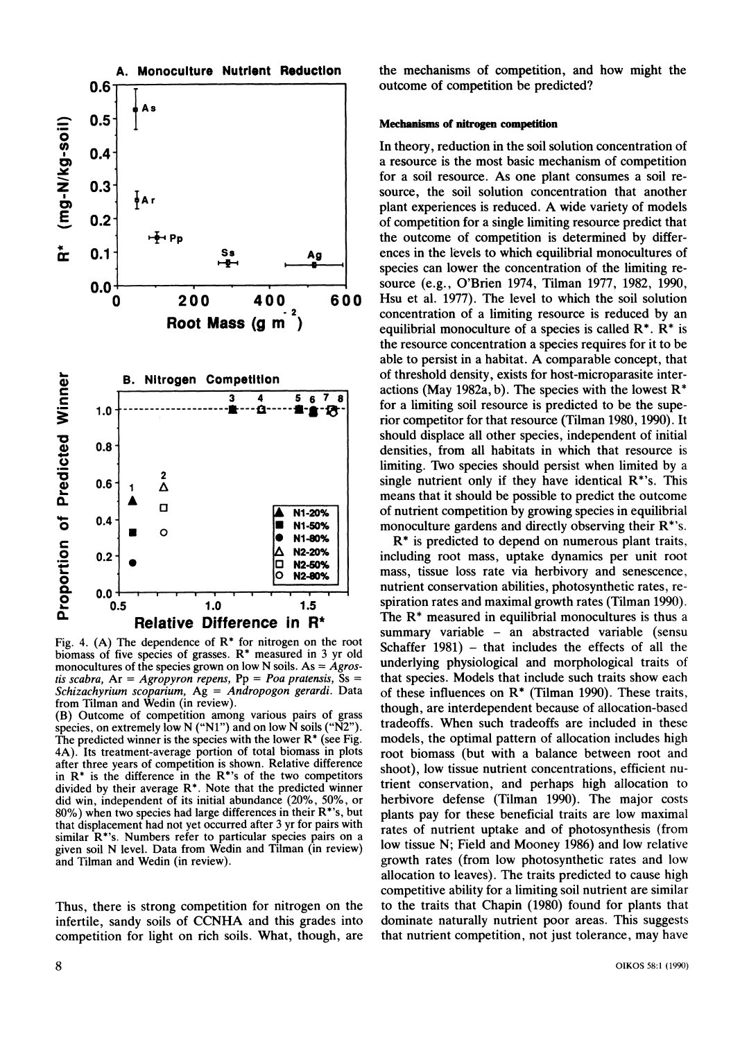

**Fig. 4. (A) The dependence of R\* for nitrogen on the root biomass of five species of grasses. R\* measured in 3 yr old monocultures of the species grown on low N soils. As = Agrostis scabra, Ar = Agropyron repens, Pp = Poa pratensis, Ss = Schizachyrium scoparium, Ag = Andropogon gerardi. Data from Tilman and Wedin (in review).** 

**(B) Outcome of competition among various pairs of grass species, on extremely low N ("NI") and on low N soils ("N2"). The predicted winner is the species with the lower R\* (see Fig. 4A). Its treatment-average portion of total biomass in plots after three years of competition is shown. Relative difference in R\* is the difference in the R\*'s of the two competitors divided by their average R\*. Note that the predicted winner did win, independent of its initial abundance (20%, 50%, or 80%) when two species had large differences in their R\*'s, but that displacement had not yet occurred after 3 yr for pairs with similar R\*'s. Numbers refer to particular species pairs on a given soil N level. Data from Wedin and Tilman (in review) and Tilman and Wedin (in review).** 

**Thus, there is strong competition for nitrogen on the infertile, sandy soils of CCNHA and this grades into competition for light on rich soils. What, though, are**  **the mechanisms of competition, and how might the outcome of competition be predicted?** 

#### **Mechanisms of nitrogen competition**

**In theory, reduction in the soil solution concentration of a resource is the most basic mechanism of competition for a soil resource. As one plant consumes a soil resource, the soil solution concentration that another plant experiences is reduced. A wide variety of models of competition for a single limiting resource predict that the outcome of competition is determined by differences in the levels to which equilibrial monocultures of species can lower the concentration of the limiting resource (e.g., O'Brien 1974, Tilman 1977, 1982, 1990, Hsu et al. 1977). The level to which the soil solution concentration of a limiting resource is reduced by an equilibrial monoculture of a species is called R\*. R\* is the resource concentration a species requires for it to be able to persist in a habitat. A comparable concept, that of threshold density, exists for host-microparasite interactions (May 1982a, b). The species with the lowest R\* for a limiting soil resource is predicted to be the superior competitor for that resource (Tilman 1980, 1990). It should displace all other species, independent of initial densities, from all habitats in which that resource is limiting. Two species should persist when limited by a single nutrient only if they have identical R\*'s. This means that it should be possible to predict the outcome of nutrient competition by growing species in equilibrial monoculture gardens and directly observing their R\*'s.** 

**R\* is predicted to depend on numerous plant traits, including root mass, uptake dynamics per unit root mass, tissue loss rate via herbivory and senescence, nutrient conservation abilities, photosynthetic rates, respiration rates and maximal growth rates (Tilman 1990). The R\* measured in equilibrial monocultures is thus a summary variable - an abstracted variable (sensu Schaffer 1981) - that includes the effects of all the underlying physiological and morphological traits of that species. Models that include such traits show each of these influences on R\* (Tilman 1990). These traits, though, are interdependent because of allocation-based tradeoffs. When such tradeoffs are included in these models, the optimal pattern of allocation includes high root biomass (but with a balance between root and shoot), low tissue nutrient concentrations, efficient nutrient conservation, and perhaps high allocation to herbivore defense (Tilman 1990). The major costs plants pay for these beneficial traits are low maximal rates of nutrient uptake and of photosynthesis (from low tissue N; Field and Mooney 1986) and low relative growth rates (from low photosynthetic rates and low allocation to leaves). The traits predicted to cause high competitive ability for a limiting soil nutrient are similar to the traits that Chapin (1980) found for plants that dominate naturally nutrient poor areas. This suggests that nutrient competition, not just tolerance, may have**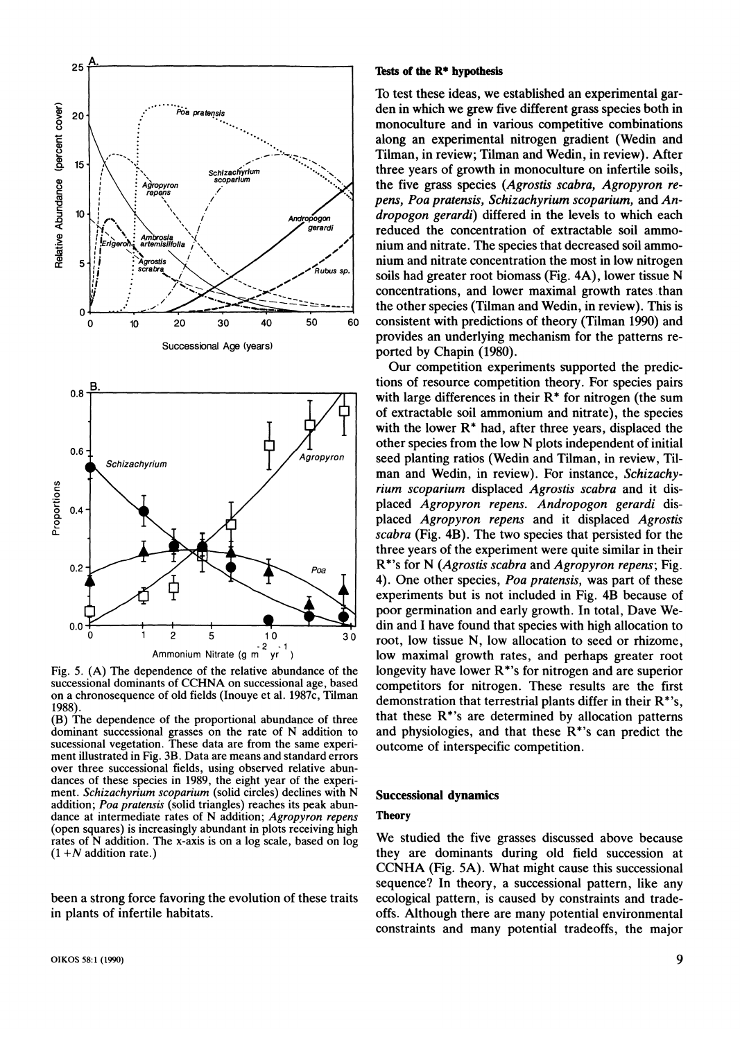

**Fig. 5. (A) The dependence of the relative abundance of the successional dominants of CCHNA on successional age, based on a chronosequence of old fields (Inouye et al. 1987c, Tilman 1988).** 

**(B) The dependence of the proportional abundance of three dominant successional grasses on the rate of N addition to sucessional vegetation. These data are from the same experiment illustrated in Fig. 3B. Data are means and standard errors over three successional fields, using observed relative abundances of these species in 1989, the eight year of the experiment. Schizachyrium scoparium (solid circles) declines with N addition; Poa pratensis (solid triangles) reaches its peak abundance at intermediate rates of N addition; Agropyron repens (open squares) is increasingly abundant in plots receiving high rates of N addition. The x-axis is on a log scale, based on log (1 +N addition rate.)** 

**been a strong force favoring the evolution of these traits in plants of infertile habitats.** 

#### **Tests of the R\* hypothesis**

**To test these ideas, we established an experimental garden in which we grew five different grass species both in monoculture and in various competitive combinations along an experimental nitrogen gradient (Wedin and Tilman, in review; Tilman and Wedin, in review). After three years of growth in monoculture on infertile soils, the five grass species (Agrostis scabra, Agropyron repens, Poa pratensis, Schizachyrium scoparium, and Andropogon gerardi) differed in the levels to which each reduced the concentration of extractable soil ammonium and nitrate. The species that decreased soil ammonium and nitrate concentration the most in low nitrogen soils had greater root biomass (Fig. 4A), lower tissue N concentrations, and lower maximal growth rates than the other species (Tilman and Wedin, in review). This is consistent with predictions of theory (Tilman 1990) and provides an underlying mechanism for the patterns reported by Chapin (1980).** 

**Our competition experiments supported the predictions of resource competition theory. For species pairs with large differences in their R\* for nitrogen (the sum of extractable soil ammonium and nitrate), the species with the lower R\* had, after three years, displaced the other species from the low N plots independent of initial seed planting ratios (Wedin and Tilman, in review, Tilman and Wedin, in review). For instance, Schizachyrium scoparium displaced Agrostis scabra and it displaced Agropyron repens. Andropogon gerardi displaced Agropyron repens and it displaced Agrostis scabra (Fig. 4B). The two species that persisted for the three years of the experiment were quite similar in their R\*'s for N (Agrostis scabra and Agropyron repens; Fig. 4). One other species, Poa pratensis, was part of these experiments but is not included in Fig. 4B because of poor germination and early growth. In total, Dave Wedin and I have found that species with high allocation to root, low tissue N, low allocation to seed or rhizome, low maximal growth rates, and perhaps greater root longevity have lower R\*'s for nitrogen and are superior competitors for nitrogen. These results are the first demonstration that terrestrial plants differ in their R\*'s, that these R\*'s are determined by allocation patterns and physiologies, and that these R\*'s can predict the outcome of interspecific competition.** 

#### **Successional dynamics**

## **Theory**

**We studied the five grasses discussed above because they are dominants during old field succession at CCNHA (Fig. 5A). What might cause this successional sequence? In theory, a successional pattern, like any ecological pattern, is caused by constraints and tradeoffs. Although there are many potential environmental constraints and many potential tradeoffs, the major**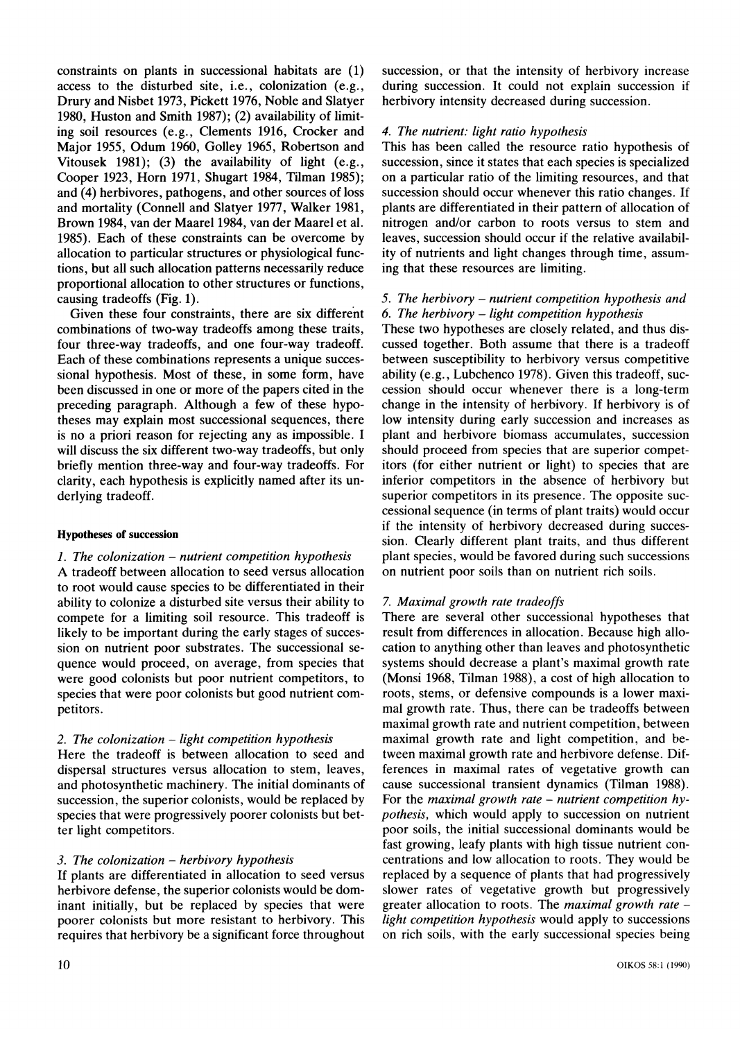**constraints on plants in successional habitats are (1) access to the disturbed site, i.e., colonization (e.g., Drury and Nisbet 1973, Pickett 1976, Noble and Slatyer 1980, Huston and Smith 1987); (2) availability of limiting soil resources (e.g., Clements 1916, Crocker and Major 1955, Odum 1960, Golley 1965, Robertson and Vitousek 1981); (3) the availability of light (e.g., Cooper 1923, Horn 1971, Shugart 1984, Tilman 1985); and (4) herbivores, pathogens, and other sources of loss and mortality (Connell and Slatyer 1977, Walker 1981, Brown 1984, van der Maarel 1984, van der Maarel et al. 1985). Each of these constraints can be overcome by allocation to particular structures or physiological functions, but all such allocation patterns necessarily reduce proportional allocation to other structures or functions, causing tradeoffs (Fig. 1).** 

**Given these four constraints, there are six different combinations of two-way tradeoffs among these traits, four three-way tradeoffs, and one four-way tradeoff. Each of these combinations represents a unique successional hypothesis. Most of these, in some form, have been discussed in one or more of the papers cited in the preceding paragraph. Although a few of these hypotheses may explain most successional sequences, there is no a priori reason for rejecting any as impossible. I will discuss the six different two-way tradeoffs, but only briefly mention three-way and four-way tradeoffs. For clarity, each hypothesis is explicitly named after its underlying tradeoff.** 

## **Hypotheses of succession**

## **1. The colonization - nutrient competition hypothesis**

**A tradeoff between allocation to seed versus allocation to root would cause species to be differentiated in their ability to colonize a disturbed site versus their ability to compete for a limiting soil resource. This tradeoff is likely to be important during the early stages of succession on nutrient poor substrates. The successional sequence would proceed, on average, from species that were good colonists but poor nutrient competitors, to species that were poor colonists but good nutrient competitors.** 

## **2. The colonization - light competition hypothesis**

**Here the tradeoff is between allocation to seed and dispersal structures versus allocation to stem, leaves, and photosynthetic machinery. The initial dominants of succession, the superior colonists, would be replaced by species that were progressively poorer colonists but better light competitors.** 

## **3. The colonization - herbivory hypothesis**

**If plants are differentiated in allocation to seed versus herbivore defense, the superior colonists would be dominant initially, but be replaced by species that were poorer colonists but more resistant to herbivory. This requires that herbivory be a significant force throughout**  **succession, or that the intensity of herbivory increase during succession. It could not explain succession if herbivory intensity decreased during succession.** 

## **4. The nutrient: light ratio hypothesis**

**This has been called the resource ratio hypothesis of succession, since it states that each species is specialized on a particular ratio of the limiting resources, and that succession should occur whenever this ratio changes. If plants are differentiated in their pattern of allocation of nitrogen and/or carbon to roots versus to stem and leaves, succession should occur if the relative availability of nutrients and light changes through time, assuming that these resources are limiting.** 

## **5. The herbivory - nutrient competition hypothesis and 6. The herbivory - light competition hypothesis**

**These two hypotheses are closely related, and thus discussed together. Both assume that there is a tradeoff between susceptibility to herbivory versus competitive ability (e.g., Lubchenco 1978). Given this tradeoff, succession should occur whenever there is a long-term change in the intensity of herbivory. If herbivory is of low intensity during early succession and increases as plant and herbivore biomass accumulates, succession should proceed from species that are superior competitors (for either nutrient or light) to species that are inferior competitors in the absence of herbivory but superior competitors in its presence. The opposite successional sequence (in terms of plant traits) would occur if the intensity of herbivory decreased during succession. Clearly different plant traits, and thus different plant species, would be favored during such successions on nutrient poor soils than on nutrient rich soils.** 

# **7. Maximal growth rate tradeoffs**

**There are several other successional hypotheses that result from differences in allocation. Because high allocation to anything other than leaves and photosynthetic systems should decrease a plant's maximal growth rate (Monsi 1968, Tilman 1988), a cost of high allocation to roots, stems, or defensive compounds is a lower maximal growth rate. Thus, there can be tradeoffs between maximal growth rate and nutrient competition, between maximal growth rate and light competition, and between maximal growth rate and herbivore defense. Differences in maximal rates of vegetative growth can cause successional transient dynamics (Tilman 1988).**  For the *maximal growth rate – nutrient competition hy***pothesis, which would apply to succession on nutrient poor soils, the initial successional dominants would be fast growing, leafy plants with high tissue nutrient concentrations and low allocation to roots. They would be replaced by a sequence of plants that had progressively slower rates of vegetative growth but progressively greater allocation to roots. The maximal growth rate light competition hypothesis would apply to successions on rich soils, with the early successional species being**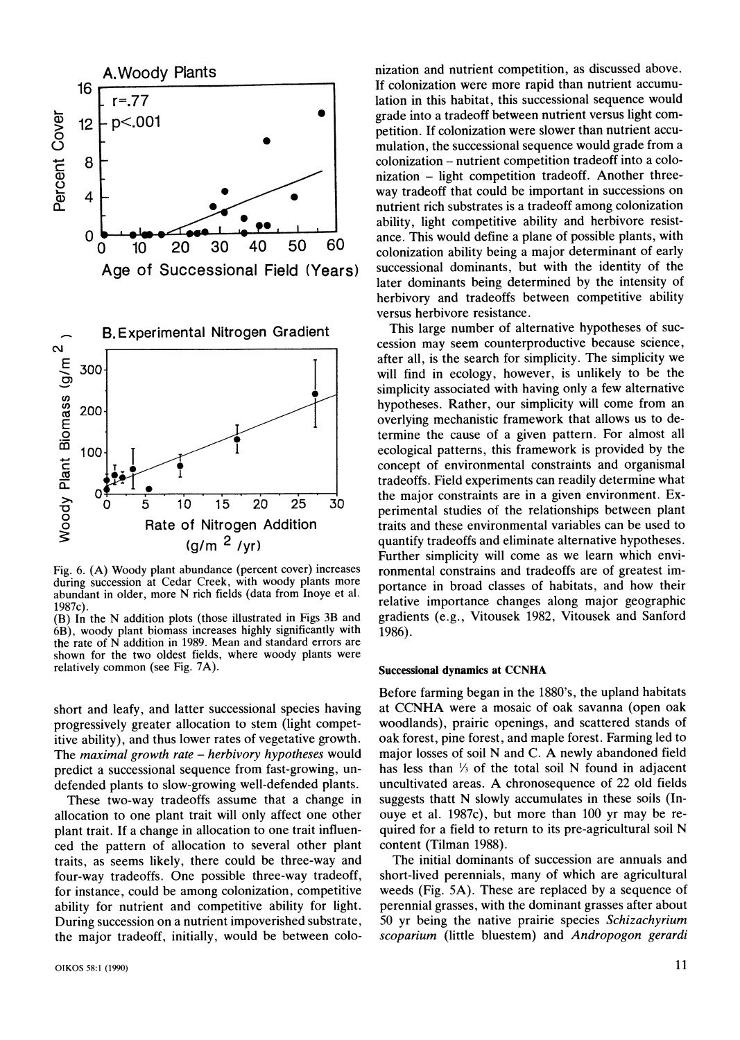

Fig. 6. (A) Woody plant abundance (percent cover) increases during succession at Cedar Creek, with woody plants more abundant in older, more N rich fields (data from Inoye et al. **1987c).** 

**ody plant biomass increases highly significantly with 1986). 1986**. **the rate ot N addition in 1989. Mean and standard errors are shown for the two oldest fields, where woody plants were relatively common (see Fig. 7A).** 

**short and leafy, and latter successional species having progressively greater allocation to stem (light competitive ability), and thus lower rates of vegetative growth. The maximal growth rate - herbivory hypotheses would predict a successional sequence from fast-growing, undefended plants to slow-growing well-defended plants.** 

**These two-way tradeoffs assume that a change in allocation to one plant trait will only affect one other plant trait. If a change in allocation to one trait influenced the pattern of allocation to several other plant traits, as seems likely, there could be three-way and four-way tradeoffs. One possible three-way tradeoff, for instance, could be among colonization, competitive ability for nutrient and competitive ability for light. During succession on a nutrient impoverished substrate, the major tradeoff, initially, would be between colo-**

**A.Woody Plants nization and nutrient competition, as discussed above. If colonization were more rapid than nutrient accumur=.77 lation in this habitat, this successional sequence would lation in this habitat, this successional sequence would** grade into a tradeoff between nutrient versus light com**petition. If colonization were slower than nutrient accumulation, the successional sequence would grade from a colonization - nutrient competition tradeoff into a colo**  nization - light competition tradeoff. Another threeway tradeoff that could be important in successions on **nutrient rich substrates is a tradeoff among colonization**  ability, light competitive ability and herbivore resist**order the contract of ancient and ancient and ancient and a glane of possible plants, with <br>20 30 40 50 60 colonization ability being a major determinant of early colonization ability being a major determinant of early later dominants being determined by the intensity of herbivory and tradeoffs between competitive ability versus herbivore resistance.** 

**cession may seem counterproductive because science, after all, is the search for simplicity. The simplicity we will find in ecology, however, is unlikely to be the f, simplicity associated with having only a few alternative 100 bypotheses. Rather, our simplicity will come from an an an expected to the contract of the state of the state of the state of the state of the state of the state of the state of the state of the state of the state o overlying mechanistic framework that allows us to de**termine the cause of a given pattern. For almost all 100<sup>1</sup> **I ecological patterns, this framework is provided by the leading in the leading of**  $\mathbf{I}$ concept of environmental constraints and organismal **tradeoffs. Field experiments can readily determine what**  5 10 15 20 25 30 **ID** inclusion **Exercise 10** 15 20 25 30 *perimental studies of the relationships between plant* **Rate of Nitrogen Addition** *traits and these environmental variables can be used to* **Rate of Nitrogen Addition** traits and these environmental variables can be used to  $(a/m^2 / vr)$  quantify tradeoffs and eliminate alternative hypotheses. **(g/m 2 /yr) quantify tradeoffs and eliminate alternative hypotheses. Further simplicity will come as we learn which envi**ronmental constrains and tradeoffs are of greatest importance in broad classes of habitats, and how their<br>relative importance changes along major geographic<br>gradients (e.g., Vitousek 1982, Vitousek and Sanford **he N** addition plots (those illustrated in Figs 3B and gradients (e.g., Vitousek 1982, Vitousek and Sanford

#### **Successional dynamics at CCNHA**

**Before farming began in the 1880's, the upland habitats at CCNHA were a mosaic of oak savanna (open oak woodlands), prairie openings, and scattered stands of oak forest, pine forest, and maple forest. Farming led to major losses of soil N and C. A newly abandoned field has less than 1/3 of the total soil N found in adjacent uncultivated areas. A chronosequence of 22 old fields suggests thatt N slowly accumulates in these soils (Inouye et al. 1987c), but more than 100 yr may be required for a field to return to its pre-agricultural soil N content (Tilman 1988).** 

**The initial dominants of succession are annuals and short-lived perennials, many of which are agricultural weeds (Fig. 5A). These are replaced by a sequence of perennial grasses, with the dominant grasses after about 50 yr being the native prairie species Schizachyrium scoparium (little bluestem) and Andropogon gerardi**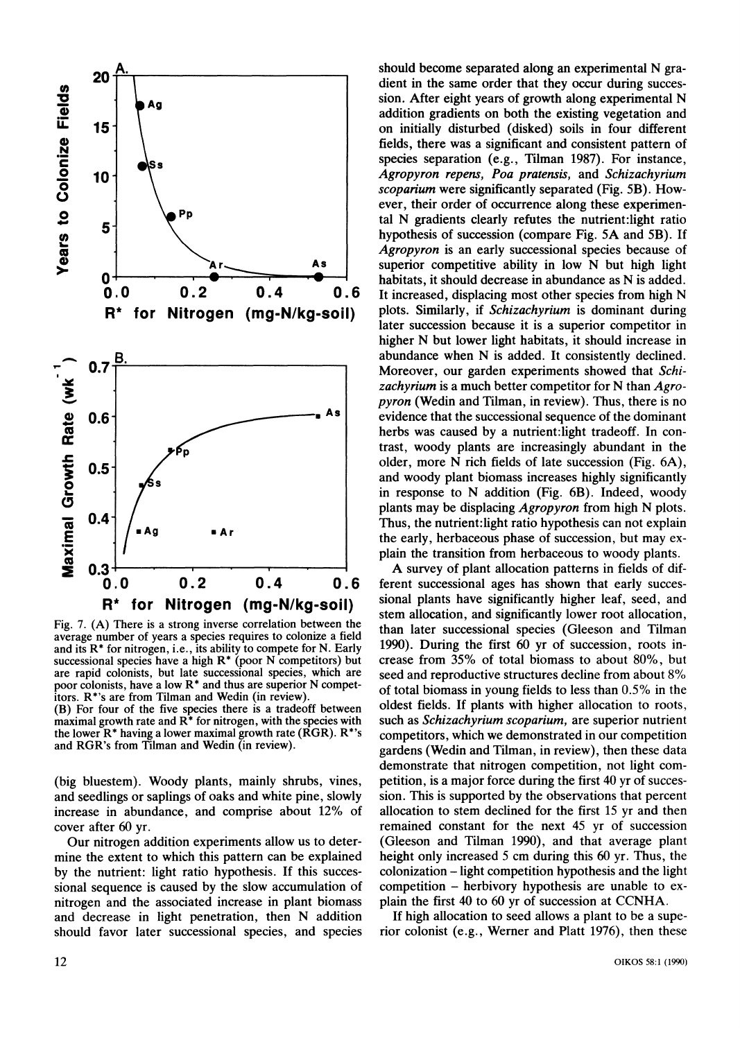

**Fig. 7. (A) There is a strong inverse correlation between the average number of years a species requires to colonize a field and its R\* for nitrogen, i.e., its ability to compete for N. Early successional species have a high R\* (poor N competitors) but are rapid colonists, but late successional species, which are poor colonists, have a low R\* and thus are superior N competitors. R\*'s are from Tilman and Wedin (in review).** 

**(B) For four of the five species there is a tradeoff between maximal growth rate and R\* for nitrogen, with the species with the lower R\* having a lower maximal growth rate (RGR). R\*'s and RGR's from Tilman and Wedin (in review).** 

**(big bluestem). Woody plants, mainly shrubs, vines, and seedlings or saplings of oaks and white pine, slowly increase in abundance, and comprise about 12% of cover after 60 yr.** 

**Our nitrogen addition experiments allow us to determine the extent to which this pattern can be explained by the nutrient: light ratio hypothesis. If this successional sequence is caused by the slow accumulation of nitrogen and the associated increase in plant biomass and decrease in light penetration, then N addition should favor later successional species, and species** 

**should become separated along an experimental N gradient in the same order that they occur during succession. After eight years of growth along experimental N addition gradients on both the existing vegetation and on initially disturbed (disked) soils in four different fields, there was a significant and consistent pattern of species separation (e.g., Tilman 1987). For instance, Agropyron repens, Poa pratensis, and Schizachyrium scoparium were significantly separated (Fig. 5B). However, their order of occurrence along these experimental N gradients clearly refutes the nutrient:light ratio hypothesis of succession (compare Fig. 5A and 5B). If Agropyron is an early successional species because of superior competitive ability in low N but high light habitats, it should decrease in abundance as N is added. It increased, displacing most other species from high N plots. Similarly, if Schizachyrium is dominant during later succession because it is a superior competitor in higher N but lower light habitats, it should increase in abundance when N is added. It consistently declined. Moreover, our garden experiments showed that Schizachyrium is a much better competitor for N than Agropyron (Wedin and Tilman, in review). Thus, there is no evidence that the successional sequence of the dominant herbs was caused by a nutrient:light tradeoff. In contrast, woody plants are increasingly abundant in the older, more N rich fields of late succession (Fig. 6A), and woody plant biomass increases highly significantly in response to N addition (Fig. 6B). Indeed, woody plants may be displacing Agropyron from high N plots. Thus, the nutrient:light ratio hypothesis can not explain the early, herbaceous phase of succession, but may explain the transition from herbaceous to woody plants.** 

**A survey of plant allocation patterns in fields of different successional ages has shown that early successional plants have significantly higher leaf, seed, and stem allocation, and significantly lower root allocation, than later successional species (Gleeson and Tilman 1990). During the first 60 yr of succession, roots increase from 35% of total biomass to about 80%, but seed and reproductive structures decline from about 8% of total biomass in young fields to less than 0.5% in the oldest fields. If plants with higher allocation to roots, such as Schizachyrium scoparium, are superior nutrient competitors, which we demonstrated in our competition gardens (Wedin and Tilman, in review), then these data demonstrate that nitrogen competition, not light competition, is a major force during the first 40 yr of succession. This is supported by the observations that percent allocation to stem declined for the first 15 yr and then remained constant for the next 45 yr of succession (Gleeson and Tilman 1990), and that average plant height only increased 5 cm during this 60 yr. Thus, the colonization - light competition hypothesis and the light competition - herbivory hypothesis are unable to explain the first 40 to 60 yr of succession at CCNHA.** 

**If high allocation to seed allows a plant to be a superior colonist (e.g., Werner and Platt 1976), then these**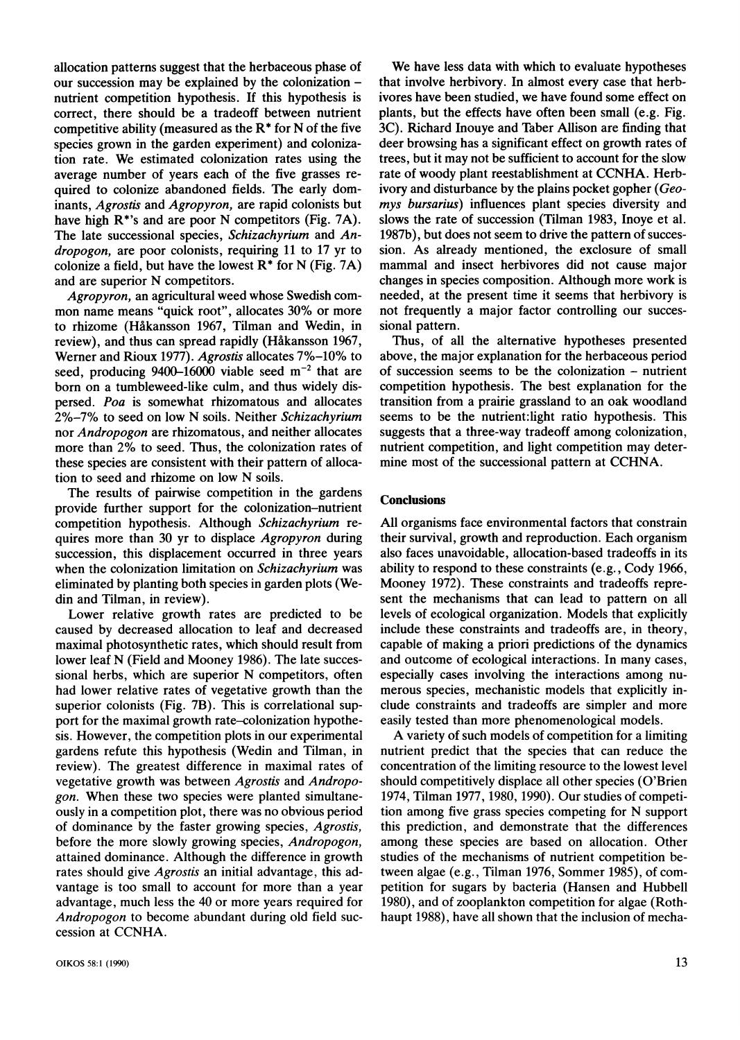**allocation patterns suggest that the herbaceous phase of our succession may be explained by the colonization nutrient competition hypothesis. If this hypothesis is correct, there should be a tradeoff between nutrient competitive ability (measured as the R\* for N of the five species grown in the garden experiment) and colonization rate. We estimated colonization rates using the average number of years each of the five grasses required to colonize abandoned fields. The early dominants, Agrostis and Agropyron, are rapid colonists but have high R\*'s and are poor N competitors (Fig. 7A). The late successional species, Schizachyrium and Andropogon, are poor colonists, requiring 11 to 17 yr to colonize a field, but have the lowest R\* for N (Fig. 7A) and are superior N competitors.** 

**Agropyron, an agricultural weed whose Swedish common name means "quick root", allocates 30% or more to rhizome (Hakansson 1967, Tilman and Wedin, in review), and thus can spread rapidly (Hakansson 1967, Werner and Rioux 1977). Agrostis allocates 7%-10% to seed, producing 9400-16000 viable seed m-2 that are born on a tumbleweed-like culm, and thus widely dispersed. Poa is somewhat rhizomatous and allocates 2%-7% to seed on low N soils. Neither Schizachyrium nor Andropogon are rhizomatous, and neither allocates more than 2% to seed. Thus, the colonization rates of these species are consistent with their pattern of allocation to seed and rhizome on low N soils.** 

**The results of pairwise competition in the gardens provide further support for the colonization-nutrient competition hypothesis. Although Schizachyrium requires more than 30 yr to displace Agropyron during succession, this displacement occurred in three years when the colonization limitation on Schizachyrium was eliminated by planting both species in garden plots (Wedin and Tilman, in review).** 

**Lower relative growth rates are predicted to be caused by decreased allocation to leaf and decreased maximal photosynthetic rates, which should result from lower leaf N (Field and Mooney 1986). The late successional herbs, which are superior N competitors, often had lower relative rates of vegetative growth than the superior colonists (Fig. 7B). This is correlational support for the maximal growth rate-colonization hypothesis. However, the competition plots in our experimental gardens refute this hypothesis (Wedin and Tilman, in review). The greatest difference in maximal rates of vegetative growth was between Agrostis and Andropogon. When these two species were planted simultaneously in a competition plot, there was no obvious period of dominance by the faster growing species, Agrostis, before the more slowly growing species, Andropogon, attained dominance. Although the difference in growth rates should give Agrostis an initial advantage, this advantage is too small to account for more than a year advantage, much less the 40 or more years required for Andropogon to become abundant during old field succession at CCNHA.** 

**OIKOS 58:1 (1990) 13** 

**We have less data with which to evaluate hypotheses that involve herbivory. In almost every case that herbivores have been studied, we have found some effect on plants, but the effects have often been small (e.g. Fig. 3C). Richard Inouye and Taber Allison are finding that deer browsing has a significant effect on growth rates of trees, but it may not be sufficient to account for the slow rate of woody plant reestablishment at CCNHA. Herbivory and disturbance by the plains pocket gopher (Geomys bursarius) influences plant species diversity and slows the rate of succession (Tilman 1983, Inoye et al. 1987b), but does not seem to drive the pattern of succession. As already mentioned, the exclosure of small mammal and insect herbivores did not cause major changes in species composition. Although more work is needed, at the present time it seems that herbivory is not frequently a major factor controlling our successional pattern.** 

**Thus, of all the alternative hypotheses presented above, the major explanation for the herbaceous period of succession seems to be the colonization - nutrient competition hypothesis. The best explanation for the transition from a prairie grassland to an oak woodland seems to be the nutrient:light ratio hypothesis. This suggests that a three-way tradeoff among colonization, nutrient competition, and light competition may determine most of the successional pattern at CCHNA.** 

## **Conclusions**

**All organisms face environmental factors that constrain their survival, growth and reproduction. Each organism also faces unavoidable, allocation-based tradeoffs in its ability to respond to these constraints (e.g., Cody 1966, Mooney 1972). These constraints and tradeoffs represent the mechanisms that can lead to pattern on all levels of ecological organization. Models that explicitly include these constraints and tradeoffs are, in theory, capable of making a priori predictions of the dynamics and outcome of ecological interactions. In many cases, especially cases involving the interactions among numerous species, mechanistic models that explicitly include constraints and tradeoffs are simpler and more easily tested than more phenomenological models.** 

**A variety of such models of competition for a limiting nutrient predict that the species that can reduce the concentration of the limiting resource to the lowest level should competitively displace all other species (O'Brien 1974, Tilman 1977, 1980, 1990). Our studies of competition among five grass species competing for N support this prediction, and demonstrate that the differences among these species are based on allocation. Other studies of the mechanisms of nutrient competition between algae (e.g., Tilman 1976, Sommer 1985), of competition for sugars by bacteria (Hansen and Hubbell 1980), and of zooplankton competition for algae (Rothhaupt 1988), have all shown that the inclusion of mecha-**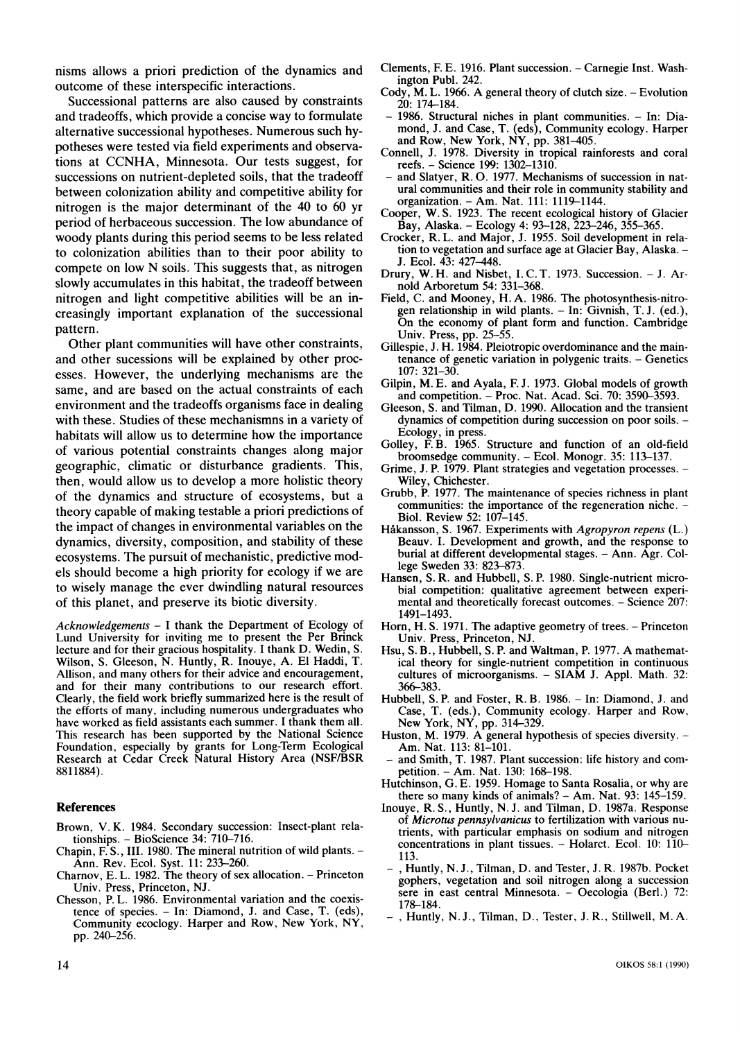**nisms allows a priori prediction of the dynamics and outcome of these interspecific interactions.** 

**Successional patterns are also caused by constraints and tradeoffs, which provide a concise way to formulate alternative successional hypotheses. Numerous such hypotheses were tested via field experiments and observations at CCNHA, Minnesota. Our tests suggest, for successions on nutrient-depleted soils, that the tradeoff between colonization ability and competitive ability for nitrogen is the major determinant of the 40 to 60 yr period of herbaceous succession. The low abundance of woody plants during this period seems to be less related to colonization abilities than to their poor ability to compete on low N soils. This suggests that, as nitrogen slowly accumulates in this habitat, the tradeoff between nitrogen and light competitive abilities will be an increasingly important explanation of the successional pattern.** 

**Other plant communities will have other constraints, and other sucessions will be explained by other processes. However, the underlying mechanisms are the same, and are based on the actual constraints of each environment and the tradeoffs organisms face in dealing with these. Studies of these mechanismns in a variety of habitats will allow us to determine how the importance of various potential constraints changes along major geographic, climatic or disturbance gradients. This, then, would allow us to develop a more holistic theory of the dynamics and structure of ecosystems, but a theory capable of making testable a priori predictions of the impact of changes in environmental variables on the dynamics, diversity, composition, and stability of these ecosystems. The pursuit of mechanistic, predictive models should become a high priority for ecology if we are to wisely manage the ever dwindling natural resources of this planet, and preserve its biotic diversity.** 

**Acknowledgements - I thank the Department of Ecology of Lund University for inviting me to present the Per Brinck lecture and for their gracious hospitality. I thank D. Wedin, S. Wilson, S. Gleeson, N. Huntly, R. Inouye, A. El Haddi, T. Allison, and many others for their advice and encouragement, and for their many contributions to our research effort. Clearly, the field work briefly summarized here is the result of the efforts of many, including numerous undergraduates who have worked as field assistants each summer. I thank them all. This research has been supported by the National Science Foundation, especially by grants for Long-Term Ecological Research at Cedar Creek Natural History Area (NSF/BSR 8811884).** 

#### **References**

- **Brown, V. K. 1984. Secondary succession: Insect-plant relationships. - BioScience 34: 710-716.**
- **Chapin, F. S., III. 1980. The mineral nutrition of wild plants. Ann. Rev. Ecol. Syst. 11: 233-260.**
- **Charnov, E. L. 1982. The theory of sex allocation. Princeton Univ. Press, Princeton, NJ.**
- **Chesson, P. L. 1986. Environmental variation and the coexistence of species. - In: Diamond, J. and Case, T. (eds), Community ecoclogy. Harper and Row, New York, NY, pp. 240-256.**
- **Clements, F. E. 1916. Plant succession. Carnegie Inst. Washington Publ. 242.**
- **Cody, M. L. 1966. A general theory of clutch size. Evolution 20: 174-184.**
- **1986. Structural niches in plant communities. In: Diamond, J. and Case, T. (eds), Community ecology. Harper and Row, New York, NY, pp. 381-405.**
- **Connell, J. 1978. Diversity in tropical rainforests and coral reefs. - Science 199: 1302-1310.**
- **and Slatyer, R. 0. 1977. Mechanisms of succession in natural communities and their role in community stability and organization. - Am. Nat. 111: 1119-1144.**
- **Cooper, W. S. 1923. The recent ecological history of Glacier Bay, Alaska. - Ecology 4: 93-128, 223-246, 355-365.**
- **Crocker, R. L. and Major, J. 1955. Soil development in relation to vegetation and surface age at Glacier Bay, Alaska. - J. Ecol. 43: 427-448.**
- **Drury, W. H. and Nisbet, I. C. T. 1973. Succession. J. Arnold Arboretum 54: 331-368.**
- **Field, C. and Mooney, H. A. 1986. The photosynthesis-nitrogen relationship in wild plants. - In: Givnish, T. J. (ed.), On the economy of plant form and function. Cambridge Univ. Press, pp. 25-55.**
- **Gillespie, J. H. 1984. Pleiotropic overdominance and the maintenance of genetic variation in polygenic traits. - Genetics 107: 321-30.**
- **Gilpin, M. E. and Ayala, F. J. 1973. Global models of growth and competition. - Proc. Nat. Acad. Sci. 70: 3590-3593.**
- **Gleeson, S. and Tilman, D. 1990. Allocation and the transient dynamics of competition during succession on poor soils. - Ecology, in press.**
- **Golley, F. B. 1965. Structure and function of an old-field broomsedge community. - Ecol. Monogr. 35: 113-137.**
- **Grime, J. P. 1979. Plant strategies and vegetation processes. Wiley, Chichester.**
- **Grubb, P. 1977. The maintenance of species richness in plant communities: the importance of the regeneration niche. - Biol. Review 52: 107-145.**
- **Hakansson, S. 1967. Experiments with Agropyron repens (L.) Beauv. I. Development and growth, and the response to burial at different developmental stages. - Ann. Agr. College Sweden 33: 823-873.**
- **Hansen, S. R. and Hubbell, S. P. 1980. Single-nutrient microbial competition: qualitative agreement between experimental and theoretically forecast outcomes. - Science 207: 1491-1493.**
- **Horn, H. S. 1971. The adaptive geometry of trees. Princeton Univ. Press, Princeton, NJ.**
- **Hsu, S. B., Hubbell, S. P. and Waltman, P. 1977. A mathematical theory for single-nutrient competition in continuous cultures of microorganisms. - SIAM J. Appl. Math. 32: 366-383.**
- **Hubbell, S. P. and Foster, R. B. 1986. In: Diamond, J. and Case, T. (eds.), Community ecology. Harper and Row, New York, NY, pp. 314-329.**
- Huston, M. 1979. A general hypothesis of species diversity. -**Am. Nat. 113: 81-101.**
- and Smith, T. 1987. Plant succession: life history and com**petition. - Am. Nat. 130: 168-198.**
- **Hutchinson, G. E. 1959. Homage to Santa Rosalia, or why are there so many kinds of animals? - Am. Nat. 93: 145-159.**
- **Inouye, R. S., Huntly, N. J. and Tilman, D. 1987a. Response of Microtus pennsylvanicus to fertilization with various nutrients, with particular emphasis on sodium and nitrogen concentrations in plant tissues. - Holarct. Ecol. 10: 110- 113.**
- **-, Huntly, N. J., Tilman, D. and Tester, J. R. 1987b. Pocket gophers, vegetation and soil nitrogen along a succession sere in east central Minnesota. - Oecologia (Berl.) 72: 178-184.**
- **-, Huntly, N.J., Tilman, D., Tester, J. R., Stillwell, M.A.**